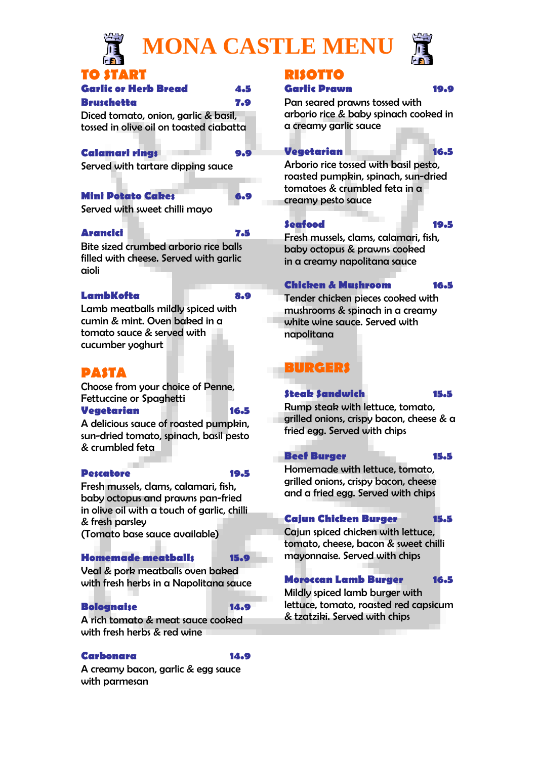

# **MONA CASTLE MENU**



# **TO START**

| <b>Garlic or Herb Bread</b> | 4.5 |
|-----------------------------|-----|
|-----------------------------|-----|

#### **Bruschetta 7.9**

Diced tomato, onion, garlic & basil, tossed in olive oil on toasted ciabatta

#### **Calamari rings 9.9**

Served with tartare dipping sauce

# Mini Potato Cakes **6.9**

Served with sweet chilli mayo

# **Arancici 7.5**

Bite sized crumbed arborio rice balls filled with cheese. Served with garlic aioli

# **LambKofta 8.9**

Lamb meatballs mildly spiced with cumin & mint. Oven baked in a tomato sauce & served with cucumber yoghurt

# **PASTA**

Choose from your choice of Penne, Fettuccine or Spaghetti

#### **Vegetarian 16.5**

A delicious sauce of roasted pumpkin, sun-dried tomato, spinach, basil pesto & crumbled feta

# **Pescatore 19.5**

Fresh mussels, clams, calamari, fish, baby octopus and prawns pan-fried in olive oil with a touch of garlic, chilli & fresh parsley (Tomato base sauce available)

# **Homemade meatballs 15.9**

Veal & pork meatballs oven baked with fresh herbs in a Napolitana sauce

# **Bolognaise 14.9**

A rich tomato & meat sauce cooked with fresh herbs & red wine

# **Carbonara 14.9**

A creamy bacon, garlic & egg sauce with parmesan

# **RISOTTO**

# **Garlic Prawn 19.9**

Pan seared prawns tossed with arborio rice & baby spinach cooked in a creamy garlic sauce

# **Vegetarian 16.5**

Arborio rice tossed with basil pesto, roasted pumpkin, spinach, sun-dried tomatoes & crumbled feta in a creamy pesto sauce

# **Seafood 19.5**

Fresh mussels, clams, calamari, fish, baby octopus & prawns cooked in a creamy napolitana sauce

# **Chicken & Mushroom 16.5**

Tender chicken pieces cooked with mushrooms & spinach in a creamy white wine sauce. Served with napolitana

# **BURGERS**

# **Steak Sandwich 15.5**

Rump steak with lettuce, tomato, grilled onions, crispy bacon, cheese & a fried egg. Served with chips

# **Beef Burger 15.5**

Homemade with lettuce, tomato, grilled onions, crispy bacon, cheese and a fried egg. Served with chips

# **Cajun Chicken Burger 15.5**

Cajun spiced chicken with lettuce, tomato, cheese, bacon & sweet chilli mayonnaise. Served with chips

# **Moroccan Lamb Burger 16.5**

Mildly spiced lamb burger with lettuce, tomato, roasted red capsicum & tzatziki. Served with chips